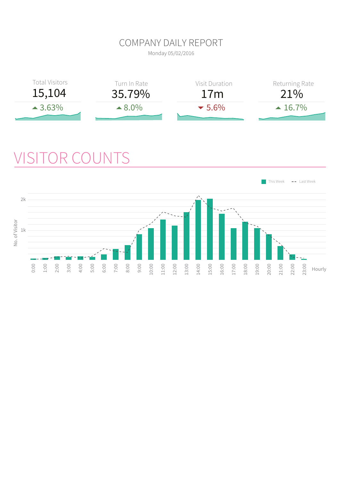COMPANY DAILY REPORT

Monday 05/02/2016



## VISITOR COUNTS